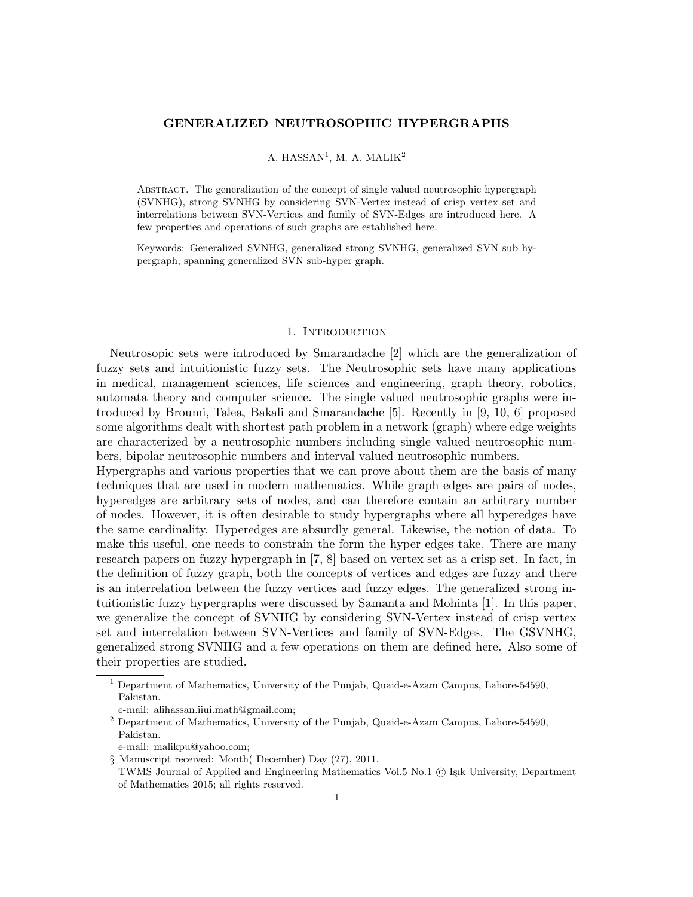## GENERALIZED NEUTROSOPHIC HYPERGRAPHS

# A. HASSAN<sup>1</sup>, M. A. MALIK<sup>2</sup>

Abstract. The generalization of the concept of single valued neutrosophic hypergraph (SVNHG), strong SVNHG by considering SVN-Vertex instead of crisp vertex set and interrelations between SVN-Vertices and family of SVN-Edges are introduced here. A few properties and operations of such graphs are established here.

Keywords: Generalized SVNHG, generalized strong SVNHG, generalized SVN sub hypergraph, spanning generalized SVN sub-hyper graph.

#### 1. INTRODUCTION

Neutrosopic sets were introduced by Smarandache [2] which are the generalization of fuzzy sets and intuitionistic fuzzy sets. The Neutrosophic sets have many applications in medical, management sciences, life sciences and engineering, graph theory, robotics, automata theory and computer science. The single valued neutrosophic graphs were introduced by Broumi, Talea, Bakali and Smarandache [5]. Recently in [9, 10, 6] proposed some algorithms dealt with shortest path problem in a network (graph) where edge weights are characterized by a neutrosophic numbers including single valued neutrosophic numbers, bipolar neutrosophic numbers and interval valued neutrosophic numbers.

Hypergraphs and various properties that we can prove about them are the basis of many techniques that are used in modern mathematics. While graph edges are pairs of nodes, hyperedges are arbitrary sets of nodes, and can therefore contain an arbitrary number of nodes. However, it is often desirable to study hypergraphs where all hyperedges have the same cardinality. Hyperedges are absurdly general. Likewise, the notion of data. To make this useful, one needs to constrain the form the hyper edges take. There are many research papers on fuzzy hypergraph in [7, 8] based on vertex set as a crisp set. In fact, in the definition of fuzzy graph, both the concepts of vertices and edges are fuzzy and there is an interrelation between the fuzzy vertices and fuzzy edges. The generalized strong intuitionistic fuzzy hypergraphs were discussed by Samanta and Mohinta [1]. In this paper, we generalize the concept of SVNHG by considering SVN-Vertex instead of crisp vertex set and interrelation between SVN-Vertices and family of SVN-Edges. The GSVNHG, generalized strong SVNHG and a few operations on them are defined here. Also some of their properties are studied.

e-mail: malikpu@yahoo.com;

<sup>1</sup> Department of Mathematics, University of the Punjab, Quaid-e-Azam Campus, Lahore-54590, Pakistan.

e-mail: alihassan.iiui.math@gmail.com;

<sup>2</sup> Department of Mathematics, University of the Punjab, Quaid-e-Azam Campus, Lahore-54590, Pakistan.

<sup>§</sup> Manuscript received: Month( December) Day (27), 2011. TWMS Journal of Applied and Engineering Mathematics Vol.5 No.1 © Işık University, Department of Mathematics 2015; all rights reserved.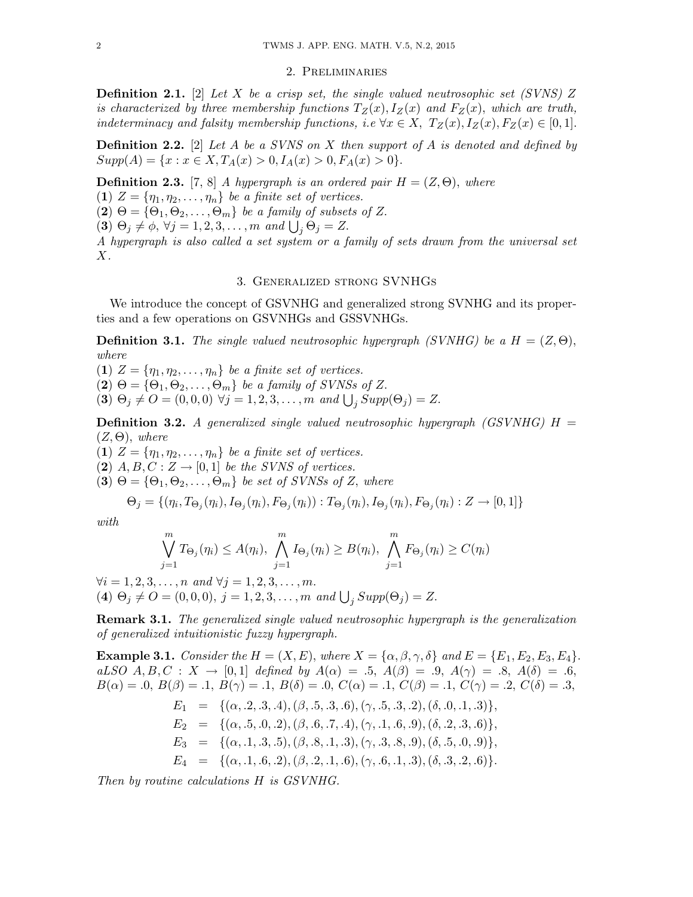### 2. Preliminaries

**Definition 2.1.** [2] Let X be a crisp set, the single valued neutrosophic set (SVNS) Z is characterized by three membership functions  $T_Z(x)$ ,  $I_Z(x)$  and  $F_Z(x)$ , which are truth, indeterminacy and falsity membership functions, i.e  $\forall x \in X$ ,  $T_Z(x)$ ,  $I_Z(x)$ ,  $F_Z(x) \in [0,1]$ .

**Definition 2.2.** [2] Let A be a SVNS on X then support of A is denoted and defined by  $Supp(A) = \{x : x \in X, T_A(x) > 0, I_A(x) > 0, F_A(x) > 0\}.$ 

**Definition 2.3.** [7, 8] A hypergraph is an ordered pair  $H = (Z, \Theta)$ , where (1)  $Z = \{\eta_1, \eta_2, \dots, \eta_n\}$  be a finite set of vertices.

 $(2) \Theta = {\Theta_1, \Theta_2, \ldots, \Theta_m}$  be a family of subsets of Z.

(3)  $\Theta_j \neq \phi, \forall j = 1, 2, 3, \dots, m$  and  $\bigcup_j \Theta_j = Z$ .

A hypergraph is also called a set system or a family of sets drawn from the universal set  $X$ .

## 3. Generalized strong SVNHGs

We introduce the concept of GSVNHG and generalized strong SVNHG and its properties and a few operations on GSVNHGs and GSSVNHGs.

**Definition 3.1.** The single valued neutrosophic hypergraph (SVNHG) be a  $H = (Z, \Theta)$ , where

(1)  $Z = \{\eta_1, \eta_2, \dots, \eta_n\}$  be a finite set of vertices.  $(2) \Theta = {\Theta_1, \Theta_2, \ldots, \Theta_m}$  be a family of SVNSs of Z. (3)  $\Theta_j \neq O = (0, 0, 0) \ \forall j = 1, 2, 3, ..., m \ and \ \bigcup_j \, Supp(\Theta_j) = Z.$ 

**Definition 3.2.** A generalized single valued neutrosophic hypergraph (GSVNHG)  $H =$  $(Z, \Theta)$ , where

(1)  $Z = \{\eta_1, \eta_2, \dots, \eta_n\}$  be a finite set of vertices.

(2)  $A, B, C: Z \rightarrow [0, 1]$  be the SVNS of vertices.

(3)  $\Theta = {\Theta_1, \Theta_2, \ldots, \Theta_m}$  be set of SVNSs of Z, where

$$
\Theta_j = \{(\eta_i, T_{\Theta_j}(\eta_i), I_{\Theta_j}(\eta_i), F_{\Theta_j}(\eta_i)) : T_{\Theta_j}(\eta_i), I_{\Theta_j}(\eta_i), F_{\Theta_j}(\eta_i) : Z \to [0,1]\}
$$

with

$$
\bigvee_{j=1}^{m} T_{\Theta_j}(\eta_i) \leq A(\eta_i), \bigwedge_{j=1}^{m} I_{\Theta_j}(\eta_i) \geq B(\eta_i), \bigwedge_{j=1}^{m} F_{\Theta_j}(\eta_i) \geq C(\eta_i)
$$

 $\forall i = 1, 2, 3, \dots, n \text{ and } \forall j = 1, 2, 3, \dots, m.$ (4)  $\Theta_j \neq O = (0, 0, 0), j = 1, 2, 3, ..., m$  and  $\bigcup_j \text{Supp}(\Theta_j) = Z$ .

Remark 3.1. The generalized single valued neutrosophic hypergraph is the generalization of generalized intuitionistic fuzzy hypergraph.

**Example 3.1.** Consider the  $H = (X, E)$ , where  $X = \{\alpha, \beta, \gamma, \delta\}$  and  $E = \{E_1, E_2, E_3, E_4\}$ . aLSO  $A, B, C: X \to [0,1]$  defined by  $A(\alpha) = .5, A(\beta) = .9, A(\gamma) = .8, A(\delta) = .6,$  $B(\alpha) = .0, B(\beta) = .1, B(\gamma) = .1, B(\delta) = .0, C(\alpha) = .1, C(\beta) = .1, C(\gamma) = .2, C(\delta) = .3,$  $E_1 = \{(\alpha, .2, .3, .4), (\beta, .5, .3, .6), (\gamma, .5, .3, .2), (\delta, .0, .1, .3)\},\$  $E_2 = \{(\alpha, .5, .0, .2), (\beta, .6, .7, .4), (\gamma, .1, .6, .9), (\delta, .2, .3, .6)\},\$  $E_3 = \{(\alpha, .1, .3, .5), (\beta, .8, .1, .3), (\gamma, .3, .8, .9), (\delta, .5, .0, .9)\},\$  $E_4 = \{(\alpha, .1, .6, .2), (\beta, .2, .1, .6), (\gamma, .6, .1, .3), (\delta, .3, .2, .6)\}.$ 

Then by routine calculations H is GSVNHG.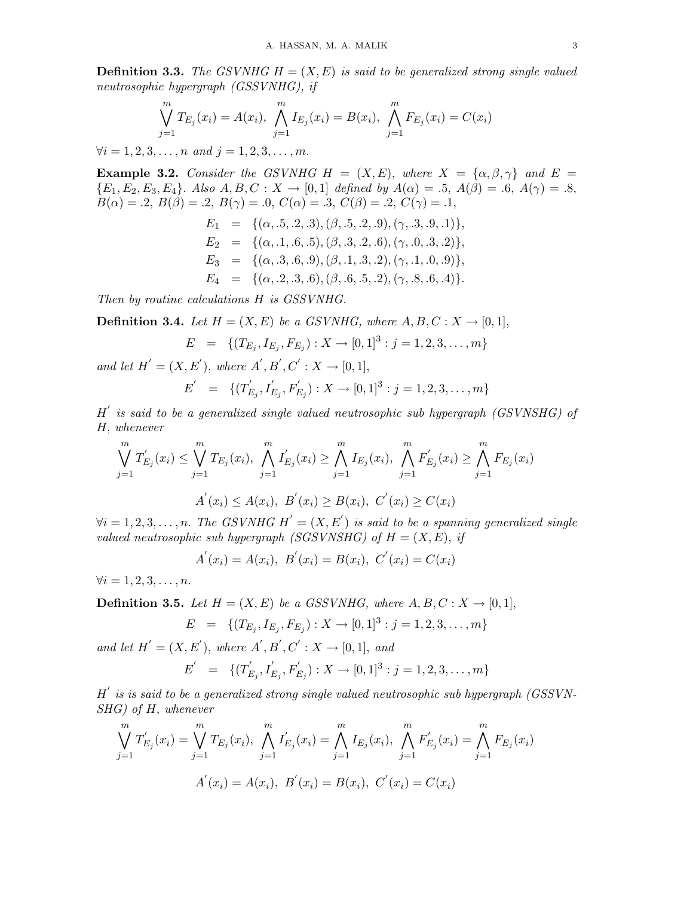**Definition 3.3.** The GSVNHG  $H = (X, E)$  is said to be generalized strong single valued neutrosophic hypergraph (GSSVNHG), if

$$
\bigvee_{j=1}^{m} T_{E_j}(x_i) = A(x_i), \bigwedge_{j=1}^{m} I_{E_j}(x_i) = B(x_i), \bigwedge_{j=1}^{m} F_{E_j}(x_i) = C(x_i)
$$

 $\forall i = 1, 2, 3, \ldots, n$  and  $j = 1, 2, 3, \ldots, m$ .

**Example 3.2.** Consider the GSVNHG H =  $(X, E)$ , where  $X = {\alpha, \beta, \gamma}$  and  $E =$  ${E_1, E_2, E_3, E_4}$ . Also  $A, B, C: X \to [0, 1]$  defined by  $A(\alpha) = .5, A(\beta) = .6, A(\gamma) = .8,$  $B(\alpha) = .2, B(\beta) = .2, B(\gamma) = .0, C(\alpha) = .3, C(\beta) = .2, C(\gamma) = .1,$ 

$$
E_1 = \{ (\alpha, .5, .2, .3), (\beta, .5, .2, .9), (\gamma, .3, .9, .1) \},
$$
  
\n
$$
E_2 = \{ (\alpha, .1, .6, .5), (\beta, .3, .2, .6), (\gamma, .0, .3, .2) \},
$$
  
\n
$$
E_3 = \{ (\alpha, .3, .6, .9), (\beta, .1, .3, .2), (\gamma, .1, .0, .9) \},
$$
  
\n
$$
E_4 = \{ (\alpha, .2, .3, .6), (\beta, .6, .5, .2), (\gamma, .8, .6, .4) \}.
$$

Then by routine calculations H is GSSVNHG.

**Definition 3.4.** Let  $H = (X, E)$  be a GSVNHG, where  $A, B, C: X \rightarrow [0, 1]$ ,

$$
E = \{ (T_{E_j}, I_{E_j}, F_{E_j}) : X \to [0,1]^3 : j = 1,2,3,\ldots, m \}
$$

and let  $H' = (X, E'),$  where  $A', B', C' : X \to [0, 1],$ 

$$
E' = \{ (T'_{E_j}, I'_{E_j}, F'_{E_j}) : X \to [0, 1]^3 : j = 1, 2, 3, \dots, m \}
$$

 $H'$  is said to be a generalized single valued neutrosophic sub hypergraph (GSVNSHG) of H, whenever

$$
\bigvee_{j=1}^{m} T'_{E_j}(x_i) \leq \bigvee_{j=1}^{m} T_{E_j}(x_i), \bigwedge_{j=1}^{m} I'_{E_j}(x_i) \geq \bigwedge_{j=1}^{m} I_{E_j}(x_i), \bigwedge_{j=1}^{m} F'_{E_j}(x_i) \geq \bigwedge_{j=1}^{m} F_{E_j}(x_i)
$$
  

$$
A'(x_i) \leq A(x_i), B'(x_i) \geq B(x_i), C'(x_i) \geq C(x_i)
$$

 $\forall i=1,2,3,\ldots,n.$  The GSVNHG  $H^{'}=(X,E^{'})$  is said to be a spanning generalized single valued neutrosophic sub hypergraph (SGSVNSHG) of  $H = (X, E)$ , if

$$
A'(x_i) = A(x_i), B'(x_i) = B(x_i), C'(x_i) = C(x_i)
$$

 $\forall i = 1, 2, 3, \ldots, n.$ 

**Definition 3.5.** Let  $H = (X, E)$  be a GSSVNHG, where  $A, B, C: X \rightarrow [0, 1]$ ,

$$
E = \{(T_{E_j}, I_{E_j}, F_{E_j}) : X \to [0,1]^3 : j = 1,2,3,\ldots, m\}
$$

and let  $H' = (X, E'),$  where  $A', B', C' : X \rightarrow [0, 1],$  and

$$
E' = \{ (T'_{E_j}, I'_{E_j}, F'_{E_j}) : X \to [0,1]^3 : j = 1,2,3,\ldots, m \}
$$

 $H^{'}$  is is said to be a generalized strong single valued neutrosophic sub hypergraph (GSSVN-SHG) of H, whenever

$$
\bigvee_{j=1}^{m} T'_{E_j}(x_i) = \bigvee_{j=1}^{m} T_{E_j}(x_i), \bigwedge_{j=1}^{m} I'_{E_j}(x_i) = \bigwedge_{j=1}^{m} I_{E_j}(x_i), \bigwedge_{j=1}^{m} F'_{E_j}(x_i) = \bigwedge_{j=1}^{m} F_{E_j}(x_i)
$$

$$
A'(x_i) = A(x_i), B'(x_i) = B(x_i), C'(x_i) = C(x_i)
$$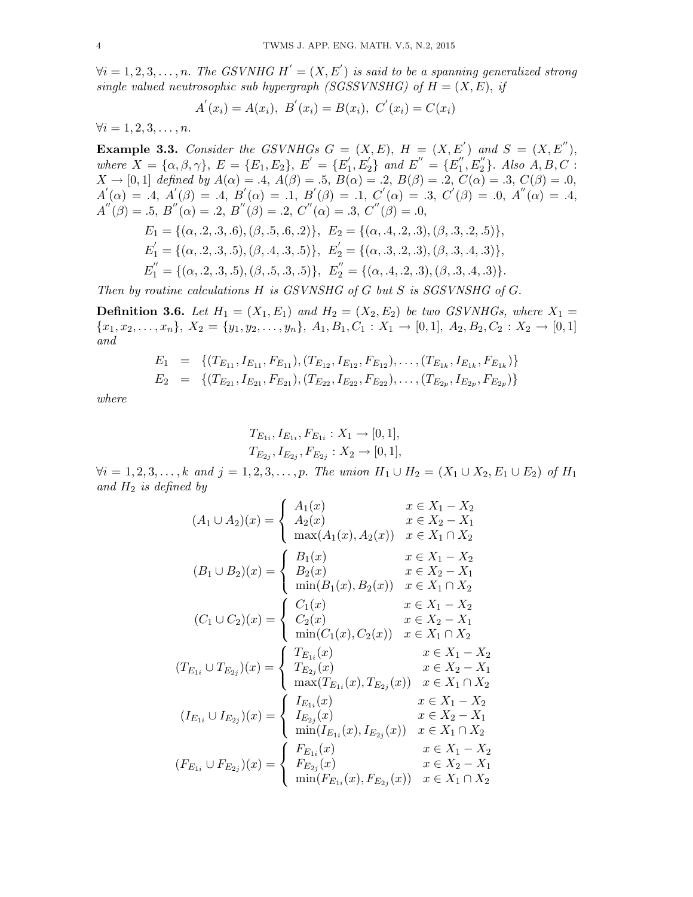$\forall i=1,2,3,\ldots,n.$  The GSVNHG  $H^{'}=(X,E^{'})$  is said to be a spanning generalized strong single valued neutrosophic sub hypergraph (SGSSVNSHG) of  $H = (X, E)$ , if

$$
A^{'}(x_i) = A(x_i), B^{'}(x_i) = B(x_i), C^{'}(x_i) = C(x_i)
$$

 $\forall i = 1, 2, 3, \ldots, n.$ 

**Example 3.3.** Consider the GSVNHGs  $G = (X, E)$ ,  $H = (X, E')$  and  $S = (X, E'')$ , where  $X = {\alpha, \beta, \gamma}, E = {E_1, E_2}, E' = {E'_1}$  $\mathcal{L}_{1}^{'}, \overleftrightarrow{E}_{2}^{'}$  $\binom{1}{2}$  and  $E'' = \{E''_1\}$  ${\eta^{''}}_{1}^{\prime}, E_{2}^{''}$  $_{2}^{"}$ . Also  $A, B, C:$  $X \to [0,1]$  defined by  $A(\alpha) = .4$ ,  $A(\beta) = .5$ ,  $B(\alpha) = .2$ ,  $B(\beta) = .2$ ,  $C(\alpha) = .3$ ,  $C(\beta) = .0$ ,  $A'(\alpha) = A, A'(\beta) = A, B'(\alpha) = A, B'(\beta) = A, B'(\beta) = A, C'(\alpha) = A, C'(\beta) = A, A''(\alpha) = A,$  $A''(\beta) = .5, B''(\alpha) = .2, B''(\beta) = .2, C''(\alpha) = .3, C''(\beta) = .0,$  $E_1 = \{(\alpha, .2, .3, .6), (\beta, .5, .6, .2)\}, E_2 = \{(\alpha, .4, .2, .3), (\beta, .3, .2, .5)\},$  $E_1' = \{(\alpha, .2, .3, .5), (\beta, .4, .3, .5)\}, E_2' = \{(\alpha, .3, .2, .3), (\beta, .3, .4, .3)\},$  $E_1^{''} = \{(\alpha, .2, .3, .5), (\beta, .5, .3, .5)\}, E_2^{''} = \{(\alpha, .4, .2, .3), (\beta, .3, .4, .3)\}.$ 

Then by routine calculations H is GSVNSHG of G but S is SGSVNSHG of G.

**Definition 3.6.** Let  $H_1 = (X_1, E_1)$  and  $H_2 = (X_2, E_2)$  be two GSVNHGs, where  $X_1 =$  ${x_1, x_2, \ldots, x_n}, X_2 = {y_1, y_2, \ldots, y_n}, A_1, B_1, C_1 : X_1 \to [0, 1], A_2, B_2, C_2 : X_2 \to [0, 1]$ and

$$
E_1 = \{ (T_{E_{11}}, I_{E_{11}}, F_{E_{11}}), (T_{E_{12}}, I_{E_{12}}, F_{E_{12}}), \ldots, (T_{E_{1k}}, I_{E_{1k}}, F_{E_{1k}}) \}
$$
  
\n
$$
E_2 = \{ (T_{E_{21}}, I_{E_{21}}, F_{E_{21}}), (T_{E_{22}}, I_{E_{22}}, F_{E_{22}}), \ldots, (T_{E_{2p}}, I_{E_{2p}}, F_{E_{2p}}) \}
$$

where

$$
T_{E_{1i}}, I_{E_{1i}}, F_{E_{1i}} : X_1 \to [0, 1],
$$
  
\n
$$
T_{E_{2j}}, I_{E_{2j}}, F_{E_{2j}} : X_2 \to [0, 1],
$$

 $\forall i = 1, 2, 3, \ldots, k$  and  $j = 1, 2, 3, \ldots, p$ . The union  $H_1 \cup H_2 = (X_1 \cup X_2, E_1 \cup E_2)$  of  $H_1$ and  $H_2$  is defined by

$$
(A_1 \cup A_2)(x) = \begin{cases} A_1(x) & x \in X_1 - X_2 \\ A_2(x) & x \in X_2 - X_1 \\ \max(A_1(x), A_2(x)) & x \in X_1 \cap X_2 \end{cases}
$$

$$
(B_1 \cup B_2)(x) = \begin{cases} B_1(x) & x \in X_1 - X_2 \\ B_2(x) & x \in X_2 - X_1 \\ \min(B_1(x), B_2(x)) & x \in X_1 \cap X_2 \end{cases}
$$

$$
(C_1 \cup C_2)(x) = \begin{cases} C_1(x) & x \in X_1 - X_2 \\ C_2(x) & x \in X_2 - X_1 \\ \min(C_1(x), C_2(x)) & x \in X_1 \cap X_2 \end{cases}
$$

$$
(T_{E_{1i}} \cup T_{E_{2j}})(x) = \begin{cases} T_{E_{1i}}(x) & x \in X_1 - X_2 \\ T_{E_{2j}}(x) & x \in X_2 - X_1 \\ \max(T_{E_{1i}}(x), T_{E_{2j}}(x)) & x \in X_1 \cap X_2 \end{cases}
$$

$$
(I_{E_{1i}} \cup I_{E_{2j}})(x) = \begin{cases} I_{E_{1i}}(x) & x \in X_1 - X_2 \\ I_{E_{2j}}(x) & x \in X_2 - X_1 \\ \min(I_{E_{1i}}(x), I_{E_{2j}}(x)) & x \in X_1 \cap X_2 \end{cases}
$$

$$
(F_{E_{1i}} \cup F_{E_{2j}})(x) = \begin{cases} F_{E_{1i}}(x) & x \in X_1 - X_2 \\ F_{E_{2j}}(x) & x \in X_1 - X_2 \\ F_{E_{2j}}(x) & x \in X_1 - X_2 \\ \min(F_{E_{1i}}(x), F_{E_{2j}}(x)) & x \in X_1 \cap X_2 \end{cases}
$$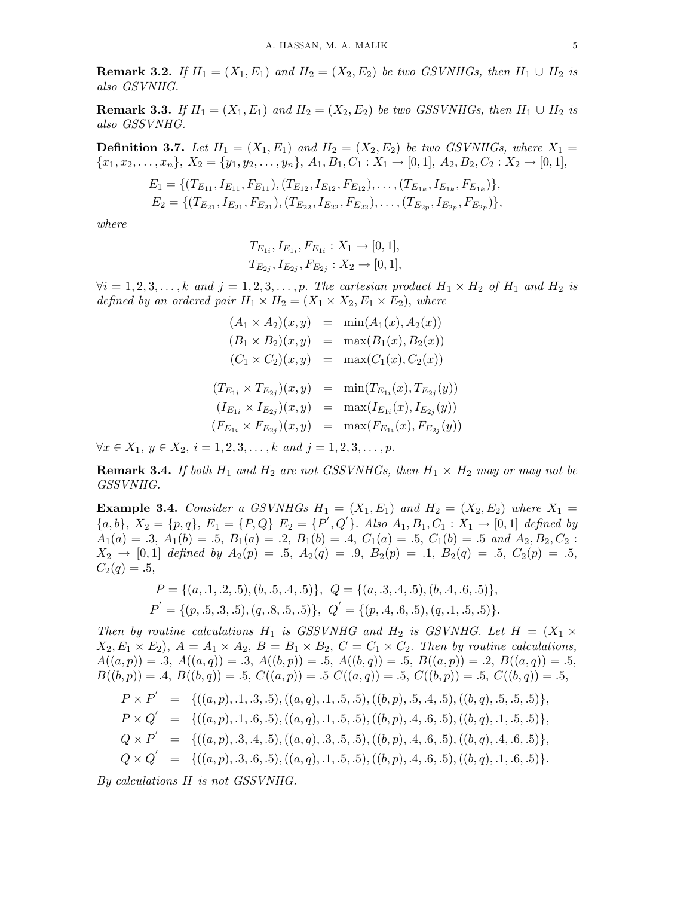**Remark 3.2.** If  $H_1 = (X_1, E_1)$  and  $H_2 = (X_2, E_2)$  be two GSVNHGs, then  $H_1 \cup H_2$  is also GSVNHG.

**Remark 3.3.** If  $H_1 = (X_1, E_1)$  and  $H_2 = (X_2, E_2)$  be two GSSVNHGs, then  $H_1 \cup H_2$  is also GSSVNHG.

**Definition 3.7.** Let  $H_1 = (X_1, E_1)$  and  $H_2 = (X_2, E_2)$  be two GSVNHGs, where  $X_1 =$  ${x_1, x_2, \ldots, x_n}$ ,  $X_2 = {y_1, y_2, \ldots, y_n}$ ,  $A_1, B_1, C_1 : X_1 \to [0, 1]$ ,  $A_2, B_2, C_2 : X_2 \to [0, 1]$ ,

$$
E_1 = \{ (T_{E_{11}}, I_{E_{11}}, F_{E_{11}}), (T_{E_{12}}, I_{E_{12}}, F_{E_{12}}), \dots, (T_{E_{1k}}, I_{E_{1k}}, F_{E_{1k}}) \},
$$
  
\n
$$
E_2 = \{ (T_{E_{21}}, I_{E_{21}}, F_{E_{21}}), (T_{E_{22}}, I_{E_{22}}, F_{E_{22}}), \dots, (T_{E_{2p}}, I_{E_{2p}}, F_{E_{2p}}) \},
$$

where

$$
T_{E_{1i}}, I_{E_{1i}}, F_{E_{1i}} : X_1 \to [0, 1],
$$
  
\n
$$
T_{E_{2j}}, I_{E_{2j}}, F_{E_{2j}} : X_2 \to [0, 1],
$$

 $\forall i = 1, 2, 3, \ldots, k$  and  $j = 1, 2, 3, \ldots, p$ . The cartesian product  $H_1 \times H_2$  of  $H_1$  and  $H_2$  is defined by an ordered pair  $H_1 \times H_2 = (X_1 \times X_2, E_1 \times E_2)$ , where

$$
(A_1 \times A_2)(x, y) = \min(A_1(x), A_2(x))
$$
  
\n
$$
(B_1 \times B_2)(x, y) = \max(B_1(x), B_2(x))
$$
  
\n
$$
(C_1 \times C_2)(x, y) = \max(C_1(x), C_2(x))
$$
  
\n
$$
(T_{E_{1i}} \times T_{E_{2j}})(x, y) = \min(T_{E_{1i}}(x), T_{E_{2j}}(y))
$$
  
\n
$$
(I_{E_{1i}} \times I_{E_{2j}})(x, y) = \max(I_{E_{1i}}(x), I_{E_{2j}}(y))
$$
  
\n
$$
(F_{E_{1i}} \times F_{E_{2j}})(x, y) = \max(F_{E_{1i}}(x), F_{E_{2j}}(y))
$$

 $\forall x \in X_1, y \in X_2, i = 1, 2, 3, \dots, k \text{ and } j = 1, 2, 3, \dots, p.$ 

**Remark 3.4.** If both  $H_1$  and  $H_2$  are not GSSVNHGs, then  $H_1 \times H_2$  may or may not be GSSVNHG.

**Example 3.4.** Consider a GSVNHGs  $H_1 = (X_1, E_1)$  and  $H_2 = (X_2, E_2)$  where  $X_1 =$  ${a, b}, X_2 = {p, q}, E_1 = {P, Q}, E_2 = {P', Q'}, has A_1, B_1, C_1 : X_1 \rightarrow [0, 1]$  defined by  $A_1(a) = .3, A_1(b) = .5, B_1(a) = .2, B_1(b) = .4, C_1(a) = .5, C_1(b) = .5 \text{ and } A_2, B_2, C_2$ :  $X_2 \rightarrow [0,1]$  defined by  $A_2(p) = .5$ ,  $A_2(q) = .9$ ,  $B_2(p) = .1$ ,  $B_2(q) = .5$ ,  $C_2(p) = .5$ ,  $C_2(q) = .5,$ 

$$
P = \{(a, .1, .2, .5), (b, .5, .4, .5)\}, Q = \{(a, .3, .4, .5), (b, .4, .6, .5)\},
$$
  

$$
P' = \{(p, .5, .3, .5), (q, .8, .5, .5)\}, Q' = \{(p, .4, .6, .5), (q, .1, .5, .5)\}.
$$

Then by routine calculations  $H_1$  is GSSVNHG and  $H_2$  is GSVNHG. Let  $H = (X_1 \times$  $X_2, E_1 \times E_2$ ,  $A = A_1 \times A_2$ ,  $B = B_1 \times B_2$ ,  $C = C_1 \times C_2$ . Then by routine calculations,  $A((a, p)) = .3, A((a, q)) = .3, A((b, p)) = .5, A((b, q)) = .5, B((a, p)) = .2, B((a, q)) = .5,$  $B((b, p)) = .4, B((b, q)) = .5, C((a, p)) = .5 C((a, q)) = .5, C((b, p)) = .5, C((b, q)) = .5,$ 

$$
P \times P' = \{((a, p), .1, .3, .5), ((a, q), .1, .5, .5), ((b, p), .5, .4, .5), ((b, q), .5, .5, .5)\},
$$
  
\n
$$
P \times Q' = \{((a, p), .1, .6, .5), ((a, q), .1, .5, .5), ((b, p), .4, .6, .5), ((b, q), .1, .5, .5)\},
$$
  
\n
$$
Q \times P' = \{((a, p), .3, .4, .5), ((a, q), .3, .5, .5), ((b, p), .4, .6, .5), ((b, q), .4, .6, .5)\},
$$
  
\n
$$
Q \times Q' = \{((a, p), .3, .6, .5), ((a, q), .1, .5, .5), ((b, p), .4, .6, .5), ((b, q), .1, .6, .5)\}.
$$

By calculations H is not GSSVNHG.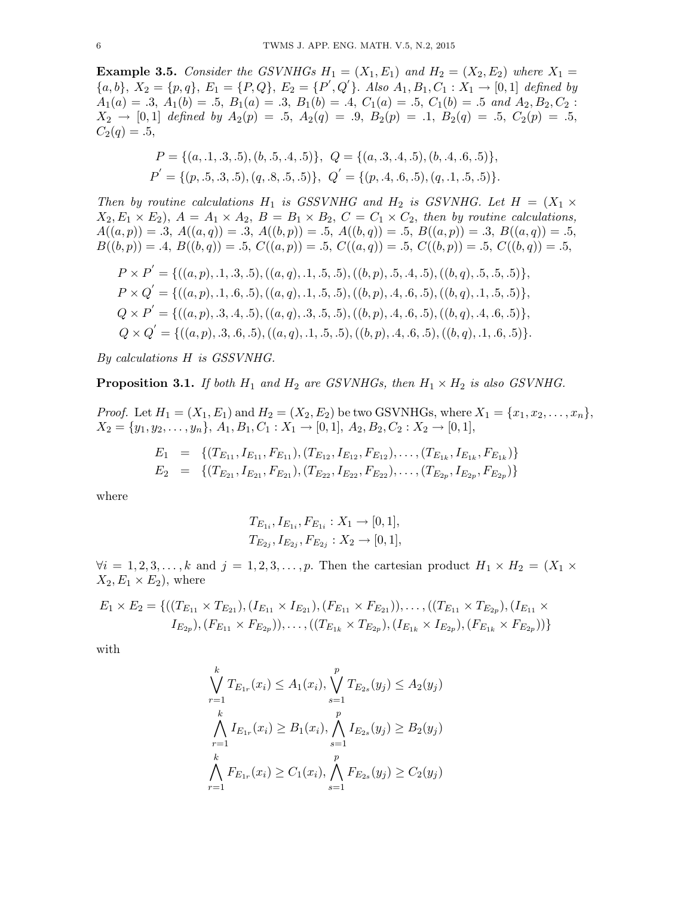**Example 3.5.** Consider the GSVNHGs  $H_1 = (X_1, E_1)$  and  $H_2 = (X_2, E_2)$  where  $X_1 =$  ${a, b}, X_2 = {p, q}, E_1 = {P, Q}, E_2 = {P', Q'}, \text{ Also } A_1, B_1, C_1 : X_1 \rightarrow [0, 1] \text{ defined by}$  $A_1(a) = .3, A_1(b) = .5, B_1(a) = .3, B_1(b) = .4, C_1(a) = .5, C_1(b) = .5 \text{ and } A_2, B_2, C_2$ :  $X_2 \rightarrow [0,1]$  defined by  $A_2(p) = .5$ ,  $A_2(q) = .9$ ,  $B_2(p) = .1$ ,  $B_2(q) = .5$ ,  $C_2(p) = .5$ ,  $C_2(q) = .5,$ 

$$
P = \{(a, .1, .3, .5), (b, .5, .4, .5)\}, Q = \{(a, .3, .4, .5), (b, .4, .6, .5)\},
$$
  

$$
P' = \{(p, .5, .3, .5), (q, .8, .5, .5)\}, Q' = \{(p, .4, .6, .5), (q, .1, .5, .5)\}.
$$

Then by routine calculations  $H_1$  is GSSVNHG and  $H_2$  is GSVNHG. Let  $H = (X_1 \times$  $X_2, E_1 \times E_2$ ,  $A = A_1 \times A_2$ ,  $B = B_1 \times B_2$ ,  $C = C_1 \times C_2$ , then by routine calculations,  $A((a, p)) = .3, A((a, q)) = .3, A((b, p)) = .5, A((b, q)) = .5, B((a, p)) = .3, B((a, q)) = .5,$  $B((b, p)) = .4, B((b, q)) = .5, C((a, p)) = .5, C((a, q)) = .5, C((b, p)) = .5, C((b, q)) = .5,$ 

$$
P \times P' = \{ ((a, p), .1, .3, .5), ((a, q), .1, .5, .5), ((b, p), .5, .4, .5), ((b, q), .5, .5, .5) \},
$$
  
\n
$$
P \times Q' = \{ ((a, p), .1, .6, .5), ((a, q), .1, .5, .5), ((b, p), .4, .6, .5), ((b, q), .1, .5, .5) \},
$$
  
\n
$$
Q \times P' = \{ ((a, p), .3, .4, .5), ((a, q), .3, .5, .5), ((b, p), .4, .6, .5), ((b, q), .4, .6, .5) \},
$$
  
\n
$$
Q \times Q' = \{ ((a, p), .3, .6, .5), ((a, q), .1, .5, .5), ((b, p), .4, .6, .5), ((b, q), .1, .6, .5) \}.
$$

By calculations H is GSSVNHG.

**Proposition 3.1.** If both  $H_1$  and  $H_2$  are GSVNHGs, then  $H_1 \times H_2$  is also GSVNHG.

*Proof.* Let  $H_1 = (X_1, E_1)$  and  $H_2 = (X_2, E_2)$  be two GSVNHGs, where  $X_1 = \{x_1, x_2, \ldots, x_n\}$ ,  $X_2 = \{y_1, y_2, \ldots, y_n\}, A_1, B_1, C_1 : X_1 \rightarrow [0, 1], A_2, B_2, C_2 : X_2 \rightarrow [0, 1],$ 

$$
E_1 = \{ (T_{E_{11}}, I_{E_{11}}, F_{E_{11}}), (T_{E_{12}}, I_{E_{12}}, F_{E_{12}}), \ldots, (T_{E_{1k}}, I_{E_{1k}}, F_{E_{1k}}) \}
$$
  
\n
$$
E_2 = \{ (T_{E_{21}}, I_{E_{21}}, F_{E_{21}}), (T_{E_{22}}, I_{E_{22}}, F_{E_{22}}), \ldots, (T_{E_{2p}}, I_{E_{2p}}, F_{E_{2p}}) \}
$$

where

$$
T_{E_{1i}}, I_{E_{1i}}, F_{E_{1i}} : X_1 \to [0, 1],
$$
  

$$
T_{E_{2j}}, I_{E_{2j}}, F_{E_{2j}} : X_2 \to [0, 1],
$$

 $\forall i = 1, 2, 3, \ldots, k$  and  $j = 1, 2, 3, \ldots, p$ . Then the cartesian product  $H_1 \times H_2 = (X_1 \times$  $X_2, E_1 \times E_2$ , where

$$
E_1 \times E_2 = \{((T_{E_{11}} \times T_{E_{21}}), (I_{E_{11}} \times I_{E_{21}}), (F_{E_{11}} \times F_{E_{21}})), \dots, ((T_{E_{11}} \times T_{E_{2p}}), (I_{E_{11}} \times I_{E_{2p}}), (F_{E_{11}} \times F_{E_{2p}})), (F_{E_{11}} \times F_{E_{2p}})), (F_{E_{1k}} \times F_{E_{2p}}))\}
$$

with

$$
\bigvee_{r=1}^{k} T_{E_{1r}}(x_i) \le A_1(x_i), \bigvee_{s=1}^{p} T_{E_{2s}}(y_j) \le A_2(y_j)
$$
\n
$$
\bigwedge_{r=1}^{k} I_{E_{1r}}(x_i) \ge B_1(x_i), \bigwedge_{s=1}^{p} I_{E_{2s}}(y_j) \ge B_2(y_j)
$$
\n
$$
\bigwedge_{r=1}^{k} F_{E_{1r}}(x_i) \ge C_1(x_i), \bigwedge_{s=1}^{p} F_{E_{2s}}(y_j) \ge C_2(y_j)
$$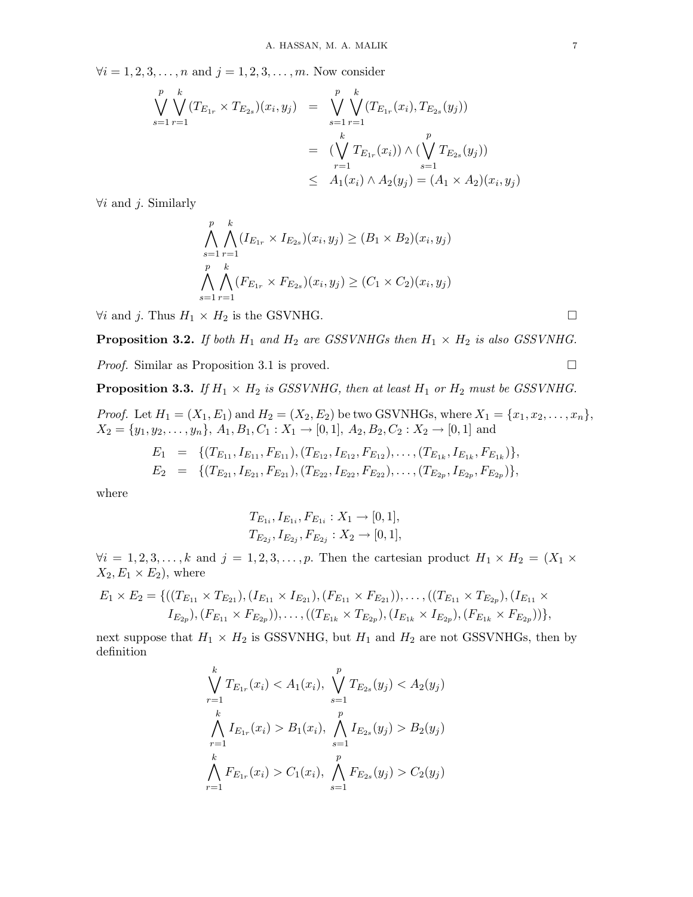$\forall i = 1, 2, 3, ..., n$  and  $j = 1, 2, 3, ..., m$ . Now consider

$$
\bigvee_{s=1}^{p} \bigvee_{r=1}^{k} (T_{E_{1r}} \times T_{E_{2s}})(x_i, y_j) = \bigvee_{s=1}^{p} \bigvee_{r=1}^{k} (T_{E_{1r}}(x_i), T_{E_{2s}}(y_j))
$$
\n
$$
= (\bigvee_{r=1}^{k} T_{E_{1r}}(x_i)) \wedge (\bigvee_{s=1}^{p} T_{E_{2s}}(y_j))
$$
\n
$$
\leq A_1(x_i) \wedge A_2(y_j) = (A_1 \times A_2)(x_i, y_j)
$$

 $\forall i$  and j. Similarly

$$
\bigwedge_{s=1}^{p} \bigwedge_{r=1}^{k} (I_{E_{1r}} \times I_{E_{2s}})(x_i, y_j) \ge (B_1 \times B_2)(x_i, y_j)
$$
\n
$$
\bigwedge_{s=1}^{p} \bigwedge_{r=1}^{k} (F_{E_{1r}} \times F_{E_{2s}})(x_i, y_j) \ge (C_1 \times C_2)(x_i, y_j)
$$

 $\forall i$  and *j*. Thus  $H_1 \times H_2$  is the GSVNHG.  $□$ 

**Proposition 3.2.** If both  $H_1$  and  $H_2$  are GSSVNHGs then  $H_1 \times H_2$  is also GSSVNHG.

*Proof.* Similar as Proposition 3.1 is proved. □

**Proposition 3.3.** If  $H_1 \times H_2$  is GSSVNHG, then at least  $H_1$  or  $H_2$  must be GSSVNHG.

*Proof.* Let  $H_1 = (X_1, E_1)$  and  $H_2 = (X_2, E_2)$  be two GSVNHGs, where  $X_1 = \{x_1, x_2, \ldots, x_n\}$ ,  $X_2 = \{y_1, y_2, \ldots, y_n\}, A_1, B_1, C_1 : X_1 \rightarrow [0, 1], A_2, B_2, C_2 : X_2 \rightarrow [0, 1]$  and

$$
E_1 = \{ (T_{E_{11}}, I_{E_{11}}, F_{E_{11}}), (T_{E_{12}}, I_{E_{12}}, F_{E_{12}}), \ldots, (T_{E_{1k}}, I_{E_{1k}}, F_{E_{1k}}) \},
$$
  
\n
$$
E_2 = \{ (T_{E_{21}}, I_{E_{21}}, F_{E_{21}}), (T_{E_{22}}, I_{E_{22}}, F_{E_{22}}), \ldots, (T_{E_{2p}}, I_{E_{2p}}, F_{E_{2p}}) \},
$$

where

$$
T_{E_{1i}}, I_{E_{1i}}, F_{E_{1i}} : X_1 \to [0, 1],
$$
  
\n
$$
T_{E_{2j}}, I_{E_{2j}}, F_{E_{2j}} : X_2 \to [0, 1],
$$

 $\forall i = 1, 2, 3, \ldots, k$  and  $j = 1, 2, 3, \ldots, p$ . Then the cartesian product  $H_1 \times H_2 = (X_1 \times$  $X_2, E_1 \times E_2$ , where

$$
E_1 \times E_2 = \{((T_{E_{11}} \times T_{E_{21}}), (I_{E_{11}} \times I_{E_{21}}), (F_{E_{11}} \times F_{E_{21}})), \dots, ((T_{E_{11}} \times T_{E_{2p}}), (I_{E_{11}} \times I_{E_{2p}}), (F_{E_{11}} \times F_{E_{2p}})), \dots, ((T_{E_{1k}} \times T_{E_{2p}}), (I_{E_{1k}} \times I_{E_{2p}}), (F_{E_{1k}} \times F_{E_{2p}}))\},\
$$

next suppose that  $H_1 \times H_2$  is GSSVNHG, but  $H_1$  and  $H_2$  are not GSSVNHGs, then by definition

$$
\bigvee_{r=1}^{k} T_{E_{1r}}(x_i) < A_1(x_i), \bigvee_{s=1}^{p} T_{E_{2s}}(y_j) < A_2(y_j)
$$
\n
$$
\bigwedge_{r=1}^{k} I_{E_{1r}}(x_i) > B_1(x_i), \bigwedge_{s=1}^{p} I_{E_{2s}}(y_j) > B_2(y_j)
$$
\n
$$
\bigwedge_{r=1}^{k} F_{E_{1r}}(x_i) > C_1(x_i), \bigwedge_{s=1}^{p} F_{E_{2s}}(y_j) > C_2(y_j)
$$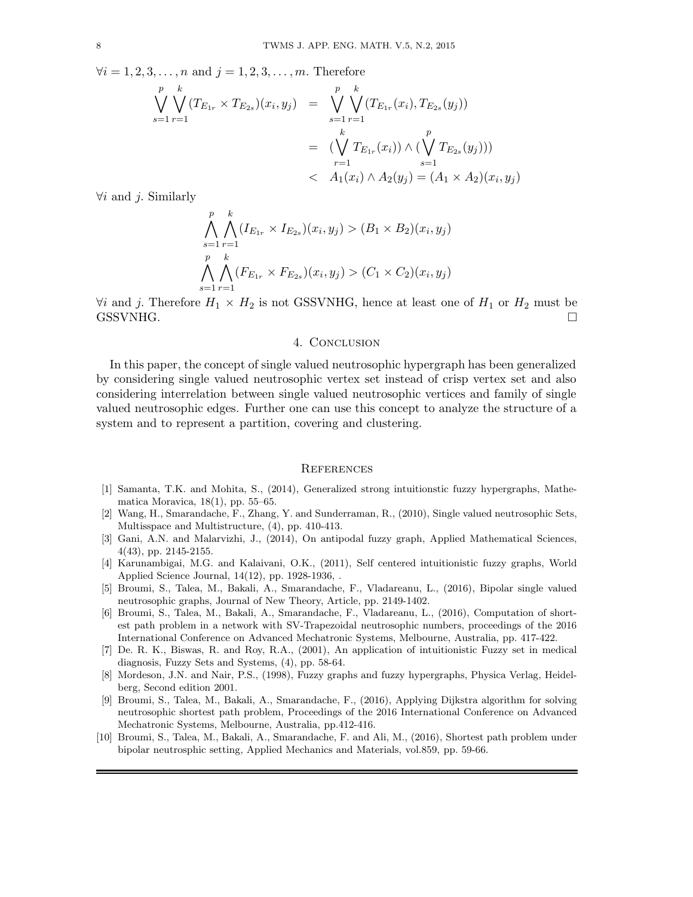$\forall i = 1, 2, 3, ..., n$  and  $j = 1, 2, 3, ..., m$ . Therefore

$$
\bigvee_{s=1}^{p} \bigvee_{r=1}^{k} (T_{E_{1r}} \times T_{E_{2s}})(x_i, y_j) = \bigvee_{s=1}^{p} \bigvee_{r=1}^{k} (T_{E_{1r}}(x_i), T_{E_{2s}}(y_j))
$$
\n
$$
= (\bigvee_{r=1}^{k} T_{E_{1r}}(x_i)) \wedge (\bigvee_{s=1}^{p} T_{E_{2s}}(y_j)))
$$
\n
$$
< A_1(x_i) \wedge A_2(y_j) = (A_1 \times A_2)(x_i, y_j)
$$

 $\forall i$  and j. Similarly

$$
\bigwedge_{s=1}^{p} \bigwedge_{r=1}^{k} (I_{E_{1r}} \times I_{E_{2s}})(x_i, y_j) > (B_1 \times B_2)(x_i, y_j)
$$
\n
$$
\bigwedge_{s=1}^{p} \bigwedge_{r=1}^{k} (F_{E_{1r}} \times F_{E_{2s}})(x_i, y_j) > (C_1 \times C_2)(x_i, y_j)
$$

 $\forall i$  and j. Therefore  $H_1 \times H_2$  is not GSSVNHG, hence at least one of  $H_1$  or  $H_2$  must be GSSVNHG.

## 4. CONCLUSION

In this paper, the concept of single valued neutrosophic hypergraph has been generalized by considering single valued neutrosophic vertex set instead of crisp vertex set and also considering interrelation between single valued neutrosophic vertices and family of single valued neutrosophic edges. Further one can use this concept to analyze the structure of a system and to represent a partition, covering and clustering.

#### **REFERENCES**

- [1] Samanta, T.K. and Mohita, S., (2014), Generalized strong intuitionstic fuzzy hypergraphs, Mathematica Moravica, 18(1), pp. 55–65.
- [2] Wang, H., Smarandache, F., Zhang, Y. and Sunderraman, R., (2010), Single valued neutrosophic Sets, Multisspace and Multistructure, (4), pp. 410-413.
- [3] Gani, A.N. and Malarvizhi, J., (2014), On antipodal fuzzy graph, Applied Mathematical Sciences, 4(43), pp. 2145-2155.
- [4] Karunambigai, M.G. and Kalaivani, O.K., (2011), Self centered intuitionistic fuzzy graphs, World Applied Science Journal, 14(12), pp. 1928-1936, .
- [5] Broumi, S., Talea, M., Bakali, A., Smarandache, F., Vladareanu, L., (2016), Bipolar single valued neutrosophic graphs, Journal of New Theory, Article, pp. 2149-1402.
- [6] Broumi, S., Talea, M., Bakali, A., Smarandache, F., Vladareanu, L., (2016), Computation of shortest path problem in a network with SV-Trapezoidal neutrosophic numbers, proceedings of the 2016 International Conference on Advanced Mechatronic Systems, Melbourne, Australia, pp. 417-422.
- [7] De. R. K., Biswas, R. and Roy, R.A., (2001), An application of intuitionistic Fuzzy set in medical diagnosis, Fuzzy Sets and Systems, (4), pp. 58-64.
- [8] Mordeson, J.N. and Nair, P.S., (1998), Fuzzy graphs and fuzzy hypergraphs, Physica Verlag, Heidelberg, Second edition 2001.
- [9] Broumi, S., Talea, M., Bakali, A., Smarandache, F., (2016), Applying Dijkstra algorithm for solving neutrosophic shortest path problem, Proceedings of the 2016 International Conference on Advanced Mechatronic Systems, Melbourne, Australia, pp.412-416.
- [10] Broumi, S., Talea, M., Bakali, A., Smarandache, F. and Ali, M., (2016), Shortest path problem under bipolar neutrosphic setting, Applied Mechanics and Materials, vol.859, pp. 59-66.